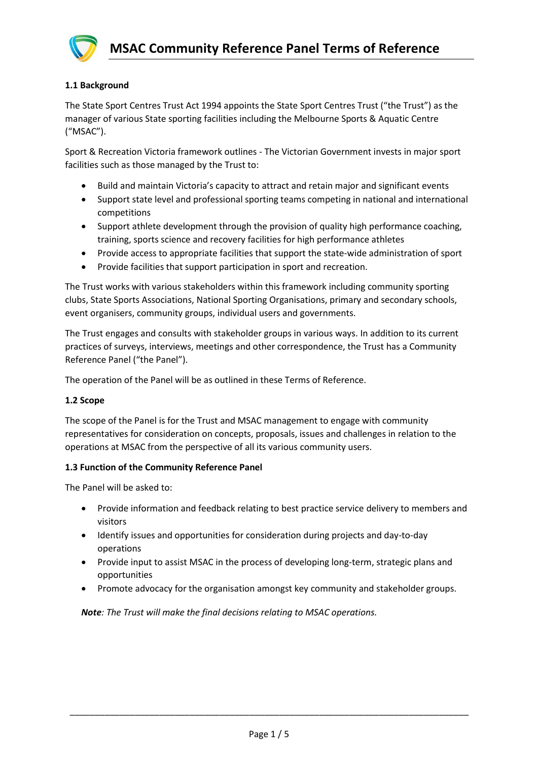

# **1.1 Background**

The State Sport Centres Trust Act 1994 appoints the State Sport Centres Trust ("the Trust") as the manager of various State sporting facilities including the Melbourne Sports & Aquatic Centre ("MSAC").

Sport & Recreation Victoria framework outlines - The Victorian Government invests in major sport facilities such as those managed by the Trust to:

- Build and maintain Victoria's capacity to attract and retain major and significant events
- Support state level and professional sporting teams competing in national and international competitions
- Support athlete development through the provision of quality high performance coaching, training, sports science and recovery facilities for high performance athletes
- Provide access to appropriate facilities that support the state-wide administration of sport
- Provide facilities that support participation in sport and recreation.

The Trust works with various stakeholders within this framework including community sporting clubs, State Sports Associations, National Sporting Organisations, primary and secondary schools, event organisers, community groups, individual users and governments.

The Trust engages and consults with stakeholder groups in various ways. In addition to its current practices of surveys, interviews, meetings and other correspondence, the Trust has a Community Reference Panel ("the Panel").

The operation of the Panel will be as outlined in these Terms of Reference.

## **1.2 Scope**

The scope of the Panel is for the Trust and MSAC management to engage with community representatives for consideration on concepts, proposals, issues and challenges in relation to the operations at MSAC from the perspective of all its various community users.

## **1.3 Function of the Community Reference Panel**

The Panel will be asked to:

- Provide information and feedback relating to best practice service delivery to members and visitors
- Identify issues and opportunities for consideration during projects and day-to-day operations
- Provide input to assist MSAC in the process of developing long-term, strategic plans and opportunities
- Promote advocacy for the organisation amongst key community and stakeholder groups.

*Note: The Trust will make the final decisions relating to MSAC operations.*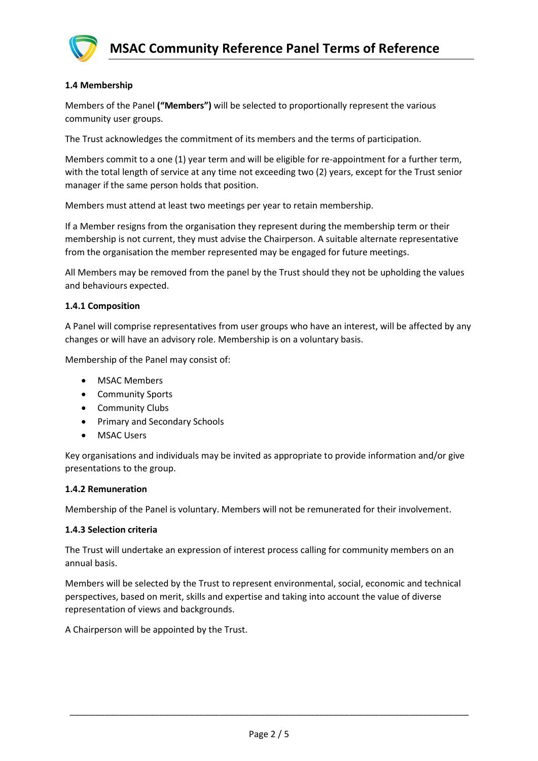

## **1.4 Membership**

Members of the Panel **("Members")** will be selected to proportionally represent the various community user groups.

The Trust acknowledges the commitment of its members and the terms of participation.

Members commit to a one (1) year term and will be eligible for re-appointment for a further term, with the total length of service at any time not exceeding two (2) years, except for the Trust senior manager if the same person holds that position.

Members must attend at least two meetings per year to retain membership.

If a Member resigns from the organisation they represent during the membership term or their membership is not current, they must advise the Chairperson. A suitable alternate representative from the organisation the member represented may be engaged for future meetings.

All Members may be removed from the panel by the Trust should they not be upholding the values and behaviours expected.

## **1.4.1 Composition**

A Panel will comprise representatives from user groups who have an interest, will be affected by any changes or will have an advisory role. Membership is on a voluntary basis.

Membership of the Panel may consist of:

- MSAC Members
- Community Sports
- Community Clubs
- Primary and Secondary Schools
- MSAC Users

Key organisations and individuals may be invited as appropriate to provide information and/or give presentations to the group.

## **1.4.2 Remuneration**

Membership of the Panel is voluntary. Members will not be remunerated for their involvement.

## **1.4.3 Selection criteria**

The Trust will undertake an expression of interest process calling for community members on an annual basis.

Members will be selected by the Trust to represent environmental, social, economic and technical perspectives, based on merit, skills and expertise and taking into account the value of diverse representation of views and backgrounds.

A Chairperson will be appointed by the Trust.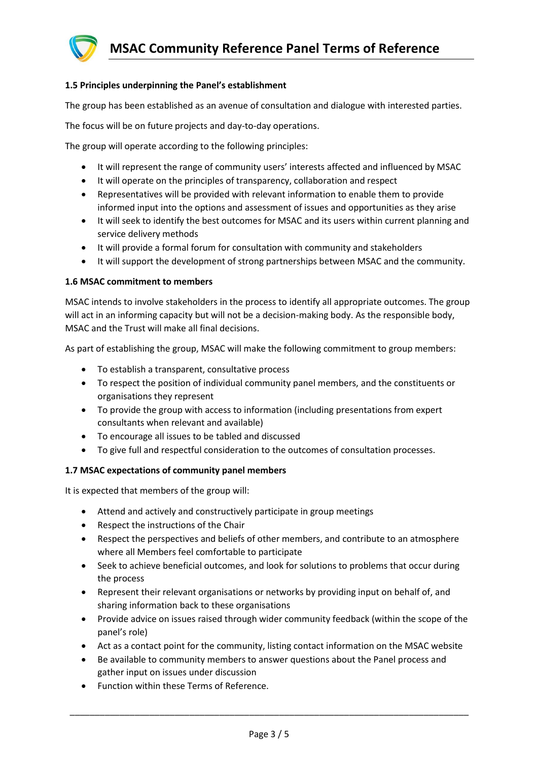

# **1.5 Principles underpinning the Panel's establishment**

The group has been established as an avenue of consultation and dialogue with interested parties.

The focus will be on future projects and day-to-day operations.

The group will operate according to the following principles:

- It will represent the range of community users' interests affected and influenced by MSAC
- It will operate on the principles of transparency, collaboration and respect
- Representatives will be provided with relevant information to enable them to provide informed input into the options and assessment of issues and opportunities as they arise
- It will seek to identify the best outcomes for MSAC and its users within current planning and service delivery methods
- It will provide a formal forum for consultation with community and stakeholders
- It will support the development of strong partnerships between MSAC and the community.

## **1.6 MSAC commitment to members**

MSAC intends to involve stakeholders in the process to identify all appropriate outcomes. The group will act in an informing capacity but will not be a decision-making body. As the responsible body, MSAC and the Trust will make all final decisions.

As part of establishing the group, MSAC will make the following commitment to group members:

- To establish a transparent, consultative process
- To respect the position of individual community panel members, and the constituents or organisations they represent
- To provide the group with access to information (including presentations from expert consultants when relevant and available)
- To encourage all issues to be tabled and discussed
- To give full and respectful consideration to the outcomes of consultation processes.

## **1.7 MSAC expectations of community panel members**

It is expected that members of the group will:

- Attend and actively and constructively participate in group meetings
- Respect the instructions of the Chair
- Respect the perspectives and beliefs of other members, and contribute to an atmosphere where all Members feel comfortable to participate
- Seek to achieve beneficial outcomes, and look for solutions to problems that occur during the process
- Represent their relevant organisations or networks by providing input on behalf of, and sharing information back to these organisations
- Provide advice on issues raised through wider community feedback (within the scope of the panel's role)
- Act as a contact point for the community, listing contact information on the MSAC website
- Be available to community members to answer questions about the Panel process and gather input on issues under discussion
- Function within these Terms of Reference.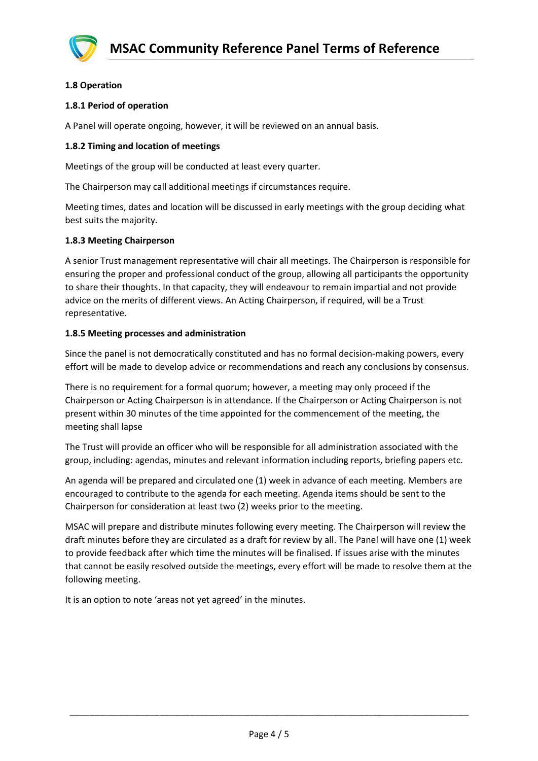

## **1.8 Operation**

## **1.8.1 Period of operation**

A Panel will operate ongoing, however, it will be reviewed on an annual basis.

## **1.8.2 Timing and location of meetings**

Meetings of the group will be conducted at least every quarter.

The Chairperson may call additional meetings if circumstances require.

Meeting times, dates and location will be discussed in early meetings with the group deciding what best suits the majority.

## **1.8.3 Meeting Chairperson**

A senior Trust management representative will chair all meetings. The Chairperson is responsible for ensuring the proper and professional conduct of the group, allowing all participants the opportunity to share their thoughts. In that capacity, they will endeavour to remain impartial and not provide advice on the merits of different views. An Acting Chairperson, if required, will be a Trust representative.

## **1.8.5 Meeting processes and administration**

Since the panel is not democratically constituted and has no formal decision-making powers, every effort will be made to develop advice or recommendations and reach any conclusions by consensus.

There is no requirement for a formal quorum; however, a meeting may only proceed if the Chairperson or Acting Chairperson is in attendance. If the Chairperson or Acting Chairperson is not present within 30 minutes of the time appointed for the commencement of the meeting, the meeting shall lapse

The Trust will provide an officer who will be responsible for all administration associated with the group, including: agendas, minutes and relevant information including reports, briefing papers etc.

An agenda will be prepared and circulated one (1) week in advance of each meeting. Members are encouraged to contribute to the agenda for each meeting. Agenda items should be sent to the Chairperson for consideration at least two (2) weeks prior to the meeting.

MSAC will prepare and distribute minutes following every meeting. The Chairperson will review the draft minutes before they are circulated as a draft for review by all. The Panel will have one (1) week to provide feedback after which time the minutes will be finalised. If issues arise with the minutes that cannot be easily resolved outside the meetings, every effort will be made to resolve them at the following meeting.

It is an option to note 'areas not yet agreed' in the minutes.